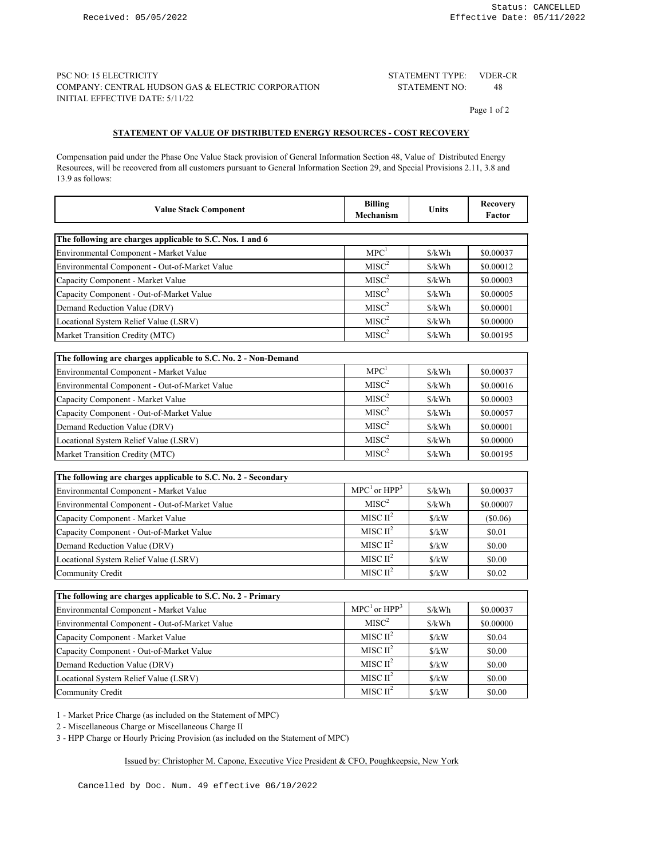### PSC NO: 15 ELECTRICITY VDER-CR STATEMENT TYPE: COMPANY: CENTRAL HUDSON GAS & ELECTRIC CORPORATION STATEMENT NO: 48 INITIAL EFFECTIVE DATE: 5/11/22

STATEMENT NO:

Page 1 of 2

# **STATEMENT OF VALUE OF DISTRIBUTED ENERGY RESOURCES - COST RECOVERY**

Compensation paid under the Phase One Value Stack provision of General Information Section 48, Value of Distributed Energy Resources, will be recovered from all customers pursuant to General Information Section 29, and Special Provisions 2.11, 3.8 and 13.9 as follows:

| <b>Value Stack Component</b>                                    | <b>Billing</b><br><b>Mechanism</b> | <b>Units</b>                  | <b>Recovery</b><br>Factor |
|-----------------------------------------------------------------|------------------------------------|-------------------------------|---------------------------|
| The following are charges applicable to S.C. Nos. 1 and 6       |                                    |                               |                           |
| Environmental Component - Market Value                          | MPC <sup>1</sup>                   | \$/kWh                        | \$0.00037                 |
| Environmental Component - Out-of-Market Value                   | $MISC^2$                           | \$/kWh                        | \$0.00012                 |
| Capacity Component - Market Value                               | MISC <sup>2</sup>                  | \$/kWh                        | \$0.00003                 |
| Capacity Component - Out-of-Market Value                        | MISC <sup>2</sup>                  | S/kWh                         | \$0.00005                 |
| Demand Reduction Value (DRV)                                    | $MISC^2$                           | S/kWh                         | \$0.00001                 |
| Locational System Relief Value (LSRV)                           | MISC <sup>2</sup>                  | S/kWh                         | \$0.00000                 |
| Market Transition Credity (MTC)                                 | MISC <sup>2</sup>                  | \$/kWh                        | \$0.00195                 |
|                                                                 |                                    |                               |                           |
| The following are charges applicable to S.C. No. 2 - Non-Demand |                                    |                               |                           |
| Environmental Component - Market Value                          | MPC <sup>1</sup>                   | \$/kWh                        | \$0.00037                 |
| Environmental Component - Out-of-Market Value                   | $\mbox{MISC}^2$                    | \$/kWh                        | \$0.00016                 |
| Capacity Component - Market Value                               | MISC <sup>2</sup>                  | \$/kWh                        | \$0.00003                 |
| Capacity Component - Out-of-Market Value                        | $\mbox{MISC}^2$                    | \$/kWh                        | \$0.00057                 |
| Demand Reduction Value (DRV)                                    | MISC <sup>2</sup>                  | \$/kWh                        | \$0.00001                 |
| Locational System Relief Value (LSRV)                           | $\mbox{MISC}^2$                    | S/kWh                         | \$0.00000                 |
| Market Transition Credity (MTC)                                 | $\mbox{MISC}^2$                    | \$/kWh                        | \$0.00195                 |
|                                                                 |                                    |                               |                           |
| The following are charges applicable to S.C. No. 2 - Secondary  |                                    |                               |                           |
| Environmental Component - Market Value                          | $MPC1$ or $HPP3$                   | \$/kWh                        | \$0.00037                 |
| Environmental Component - Out-of-Market Value                   | MISC <sup>2</sup>                  | \$/kWh                        | \$0.00007                 |
| Capacity Component - Market Value                               | MISC $II^2$                        | $\frac{\text{S}}{\text{K}}$ W | $(\$0.06)$                |
| Capacity Component - Out-of-Market Value                        | MISC $II^2$                        | $\frac{\text{S}}{\text{K}}$   | \$0.01                    |
| Demand Reduction Value (DRV)                                    | MISC $II^2$                        | $\frac{\text{S}}{\text{K}}$ W | \$0.00                    |
| Locational System Relief Value (LSRV)                           | MISC $II^2$                        | S/kW                          | \$0.00                    |
| Community Credit                                                | MISC $II^2$                        | $\frac{\text{S}}{\text{K}}$ W | \$0.02                    |

| The following are charges applicable to S.C. No. 2 - Primary |                  |                             |           |
|--------------------------------------------------------------|------------------|-----------------------------|-----------|
| Environmental Component - Market Value                       | $MPC1$ or $HPP3$ | $\frac{\sqrt{2}}{2}$        | \$0.00037 |
| Environmental Component - Out-of-Market Value                | $MISC^2$         | $\frac{\sqrt{2}}{2}$        | \$0.00000 |
| Capacity Component - Market Value                            | MISC $II^2$      | $\frac{\text{S}}{\text{K}}$ | \$0.04    |
| Capacity Component - Out-of-Market Value                     | MISC $II^2$      | $\frac{\text{S}}{\text{K}}$ | \$0.00    |
| Demand Reduction Value (DRV)                                 | MISC $II^2$      | $\frac{\text{S}}{\text{K}}$ | \$0.00    |
| Locational System Relief Value (LSRV)                        | MISC $II^2$      | N                           | \$0.00    |
| Community Credit                                             | MISC $II^2$      | N                           | \$0.00    |

1 - Market Price Charge (as included on the Statement of MPC)

2 - Miscellaneous Charge or Miscellaneous Charge II

3 - HPP Charge or Hourly Pricing Provision (as included on the Statement of MPC)

#### Issued by: Christopher M. Capone, Executive Vice President & CFO, Poughkeepsie, New York

Cancelled by Doc. Num. 49 effective 06/10/2022